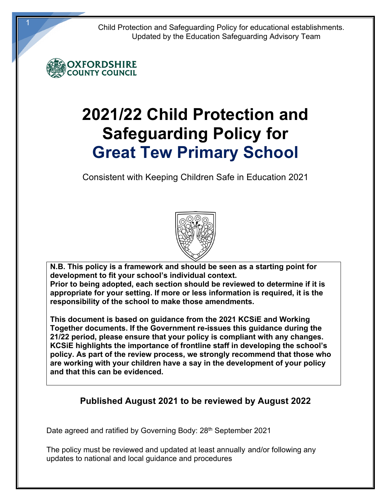Child Protection and Safeguarding Policy for educational establishments. Updated by the Education Safeguarding Advisory Team



# **2021/22 Child Protection and Safeguarding Policy for Great Tew Primary School**

Consistent with Keeping Children Safe in Education 2021



**N.B. This policy is a framework and should be seen as a starting point for development to fit your school's individual context.** 

**Prior to being adopted, each section should be reviewed to determine if it is appropriate for your setting. If more or less information is required, it is the responsibility of the school to make those amendments.** 

**This document is based on guidance from the 2021 KCSiE and Working Together documents. If the Government re-issues this guidance during the 21/22 period, please ensure that your policy is compliant with any changes. KCSiE highlights the importance of frontline staff in developing the school's policy. As part of the review process, we strongly recommend that those who are working with your children have a say in the development of your policy and that this can be evidenced.** 

# **Published August 2021 to be reviewed by August 2022**

Date agreed and ratified by Governing Body: 28<sup>th</sup> September 2021

The policy must be reviewed and updated at least annually and/or following any updates to national and local guidance and procedures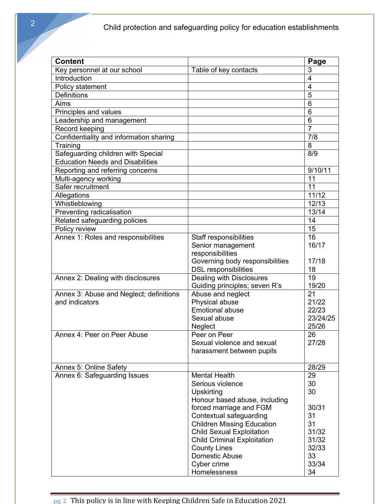| <b>Content</b>                          |                                             | Page           |
|-----------------------------------------|---------------------------------------------|----------------|
| Key personnel at our school             | Table of key contacts                       | 3              |
| Introduction                            |                                             | $\overline{4}$ |
| Policy statement                        |                                             | $\overline{4}$ |
| <b>Definitions</b>                      |                                             | 5              |
| Aims                                    |                                             | 6              |
| Principles and values                   |                                             | $\overline{6}$ |
| Leadership and management               |                                             | 6              |
| Record keeping                          |                                             | $\overline{7}$ |
| Confidentiality and information sharing |                                             | 7/8            |
| Training                                |                                             | 8              |
| Safeguarding children with Special      |                                             | 8/9            |
| <b>Education Needs and Disabilities</b> |                                             |                |
| Reporting and referring concerns        |                                             | 9/10/11        |
| Multi-agency working                    |                                             | 11             |
| Safer recruitment                       |                                             | 11             |
| Allegations                             |                                             | 11/12          |
| Whistleblowing                          |                                             | 12/13          |
| Preventing radicalisation               |                                             | 13/14          |
| Related safeguarding policies           |                                             | 14             |
| Policy review                           |                                             | 15<br>16       |
| Annex 1: Roles and responsibilities     | Staff responsibilities<br>Senior management | 16/17          |
|                                         | responsibilities                            |                |
|                                         | Governing body responsibilities             | 17/18          |
|                                         | <b>DSL</b> responsibilities                 | 18             |
| Annex 2: Dealing with disclosures       | Dealing with Disclosures                    | 19             |
|                                         | Guiding principles; seven R's               | 19/20          |
| Annex 3: Abuse and Neglect; definitions | Abuse and neglect                           | 21             |
| and indicators                          | Physical abuse                              | 21/22          |
|                                         | <b>Emotional abuse</b>                      | 22/23          |
|                                         | Sexual abuse                                | 23/24/25       |
|                                         | Neglect                                     | 25/26          |
| Annex 4: Peer on Peer Abuse             | Peer on Peer                                | 26             |
|                                         | Sexual violence and sexual                  | 27/28          |
|                                         | harassment between pupils                   |                |
|                                         |                                             |                |
| Annex 5: Online Safety                  | <b>Mental Health</b>                        | 28/29<br>29    |
| Annex 6: Safeguarding Issues            | Serious violence                            | 30             |
|                                         | Upskirting                                  | 30             |
|                                         | Honour based abuse, including               |                |
|                                         | forced marriage and FGM                     | 30/31          |
|                                         | Contextual safeguarding                     | 31             |
|                                         | <b>Children Missing Education</b>           | 31             |
|                                         | <b>Child Sexual Exploitation</b>            | 31/32          |
|                                         | <b>Child Criminal Exploitation</b>          | 31/32          |
|                                         | <b>County Lines</b>                         | 32/33          |
|                                         | Domestic Abuse                              | 33             |
|                                         | Cyber crime                                 | 33/34          |
|                                         | Homelessness                                | 34             |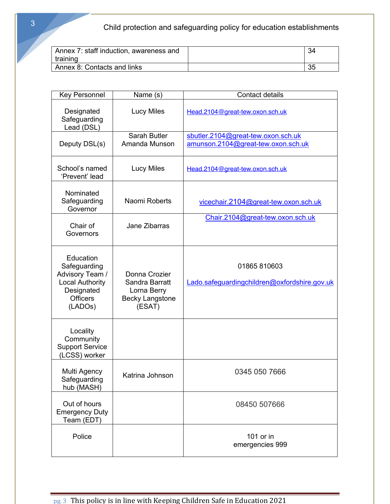Child protection and safeguarding policy for education establishments

| Annex 7: staff induction, awareness and<br>training |    |
|-----------------------------------------------------|----|
| Annex 8: Contacts and links                         | 35 |

| <b>Key Personnel</b>                                                                                               | Name (s)                                                                           | <b>Contact details</b>                                                   |
|--------------------------------------------------------------------------------------------------------------------|------------------------------------------------------------------------------------|--------------------------------------------------------------------------|
| Designated<br>Safeguarding<br>Lead (DSL)                                                                           | <b>Lucy Miles</b>                                                                  | Head.2104@great-tew.oxon.sch.uk                                          |
| Deputy DSL(s)                                                                                                      | Sarah Butler<br>Amanda Munson                                                      | sbutler.2104@great-tew.oxon.sch.uk<br>amunson.2104@great-tew.oxon.sch.uk |
| School's named<br>'Prevent' lead                                                                                   | <b>Lucy Miles</b>                                                                  | Head.2104@great-tew.oxon.sch.uk                                          |
| Nominated<br>Safeguarding<br>Governor                                                                              | Naomi Roberts                                                                      | vicechair.2104@great-tew.oxon.sch.uk                                     |
| Chair of<br>Governors                                                                                              | Jane Zibarras                                                                      | Chair.2104@great-tew.oxon.sch.uk                                         |
| Education<br>Safeguarding<br>Advisory Team /<br><b>Local Authority</b><br>Designated<br><b>Officers</b><br>(LADOs) | Donna Crozier<br>Sandra Barratt<br>Lorna Berry<br><b>Becky Langstone</b><br>(ESAT) | 01865 810603<br>Lado.safeguardingchildren@oxfordshire.gov.uk             |
| Locality<br>Community<br><b>Support Service</b><br>(LCSS) worker                                                   |                                                                                    |                                                                          |
| Multi Agency<br>Safeguarding<br>hub (MASH)                                                                         | Katrina Johnson                                                                    | 0345 050 7666                                                            |
| Out of hours<br><b>Emergency Duty</b><br>Team (EDT)                                                                |                                                                                    | 08450 507666                                                             |
| Police                                                                                                             |                                                                                    | 101 or in<br>emergencies 999                                             |

pg. 3 This policy is in line with Keeping Children Safe in Education 2021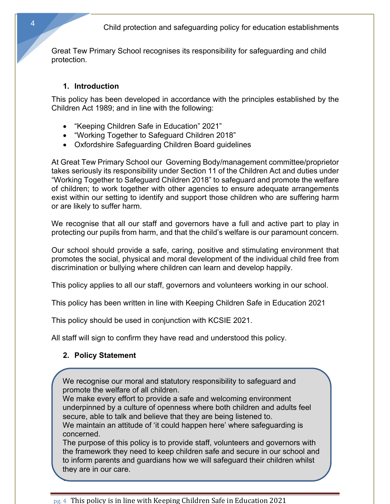Great Tew Primary School recognises its responsibility for safeguarding and child protection.

#### **1. Introduction**

This policy has been developed in accordance with the principles established by the Children Act 1989; and in line with the following:

- "Keeping Children Safe in Education" 2021"
- "Working Together to Safeguard Children 2018"
- Oxfordshire Safeguarding Children Board guidelines

At Great Tew Primary School our Governing Body/management committee/proprietor takes seriously its responsibility under Section 11 of the Children Act and duties under "Working Together to Safeguard Children 2018" to safeguard and promote the welfare of children; to work together with other agencies to ensure adequate arrangements exist within our setting to identify and support those children who are suffering harm or are likely to suffer harm.

We recognise that all our staff and governors have a full and active part to play in protecting our pupils from harm, and that the child's welfare is our paramount concern.

Our school should provide a safe, caring, positive and stimulating environment that promotes the social, physical and moral development of the individual child free from discrimination or bullying where children can learn and develop happily.

This policy applies to all our staff, governors and volunteers working in our school.

This policy has been written in line with Keeping Children Safe in Education 2021

This policy should be used in conjunction with KCSIE 2021.

All staff will sign to confirm they have read and understood this policy.

## **2. Policy Statement**

**3. Definitions**

We recognise our moral and statutory responsibility to safeguard and promote the welfare of all children.

We make every effort to provide a safe and welcoming environment underpinned by a culture of openness where both children and adults feel secure, able to talk and believe that they are being listened to.

We maintain an attitude of 'it could happen here' where safeguarding is concerned.

The purpose of this policy is to provide staff, volunteers and governors with the framework they need to keep children safe and secure in our school and to inform parents and guardians how we will safeguard their children whilst they are in our care.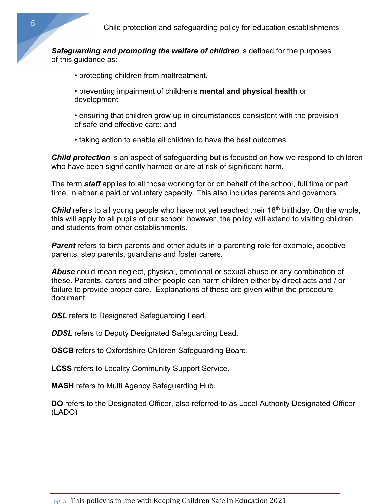*Safeguarding and promoting the welfare of children* is defined for the purposes of this guidance as:

- protecting children from maltreatment.
- preventing impairment of children's **mental and physical health** or development
- ensuring that children grow up in circumstances consistent with the provision of safe and effective care; and
- taking action to enable all children to have the best outcomes.

*Child protection* is an aspect of safeguarding but is focused on how we respond to children who have been significantly harmed or are at risk of significant harm.

The term *staff* applies to all those working for or on behalf of the school, full time or part time, in either a paid or voluntary capacity. This also includes parents and governors.

**Child** refers to all young people who have not yet reached their 18<sup>th</sup> birthday. On the whole, this will apply to all pupils of our school; however, the policy will extend to visiting children and students from other establishments.

*Parent* refers to birth parents and other adults in a parenting role for example, adoptive parents, step parents, guardians and foster carers.

*Abuse* could mean neglect, physical, emotional or sexual abuse or any combination of these. Parents, carers and other people can harm children either by direct acts and / or failure to provide proper care. Explanations of these are given within the procedure document.

**DSL** refers to Designated Safeguarding Lead.

**DDSL** refers to Deputy Designated Safeguarding Lead.

**OSCB** refers to Oxfordshire Children Safeguarding Board.

**LCSS** refers to Locality Community Support Service.

**MASH** refers to Multi Agency Safeguarding Hub.

**DO** refers to the Designated Officer, also referred to as Local Authority Designated Officer (LADO)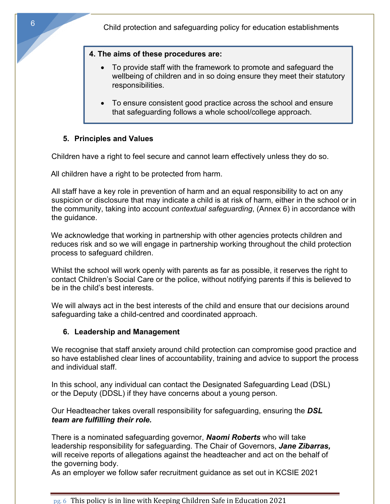#### **4. The aims of these procedures are:**

- To provide staff with the framework to promote and safeguard the wellbeing of children and in so doing ensure they meet their statutory responsibilities.
- To ensure consistent good practice across the school and ensure that safeguarding follows a whole school/college approach.

## **5. Principles and Values**

Children have a right to feel secure and cannot learn effectively unless they do so.

All children have a right to be protected from harm.

All staff have a key role in prevention of harm and an equal responsibility to act on any suspicion or disclosure that may indicate a child is at risk of harm, either in the school or in the community, taking into account *contextual safeguarding*, (Annex 6) in accordance with the guidance.

We acknowledge that working in partnership with other agencies protects children and reduces risk and so we will engage in partnership working throughout the child protection process to safeguard children.

Whilst the school will work openly with parents as far as possible, it reserves the right to contact Children's Social Care or the police, without notifying parents if this is believed to be in the child's best interests.

We will always act in the best interests of the child and ensure that our decisions around safeguarding take a child-centred and coordinated approach.

## **6. Leadership and Management**

We recognise that staff anxiety around child protection can compromise good practice and so have established clear lines of accountability, training and advice to support the process and individual staff.

In this school, any individual can contact the Designated Safeguarding Lead (DSL) or the Deputy (DDSL) if they have concerns about a young person.

Our Headteacher takes overall responsibility for safeguarding, ensuring the *DSL team are fulfilling their role.*

There is a nominated safeguarding governor, *Naomi Roberts* who will take leadership responsibility for safeguarding. The Chair of Governors, *Jane Zibarras,* will receive reports of allegations against the headteacher and act on the behalf of the governing body.

As an employer we follow safer recruitment guidance as set out in KCSIE 2021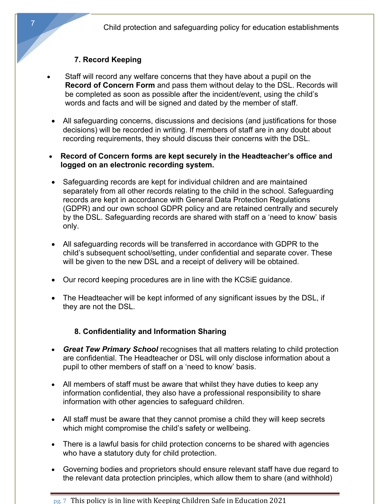Child protection and safeguarding policy for education establishments

#### **7. Record Keeping**

- Staff will record any welfare concerns that they have about a pupil on the **Record of Concern Form** and pass them without delay to the DSL. Records will be completed as soon as possible after the incident/event, using the child's words and facts and will be signed and dated by the member of staff.
- All safeguarding concerns, discussions and decisions (and justifications for those decisions) will be recorded in writing. If members of staff are in any doubt about recording requirements, they should discuss their concerns with the DSL.
- **Record of Concern forms are kept securely in the Headteacher's office and logged on an electronic recording system.**
- Safeguarding records are kept for individual children and are maintained separately from all other records relating to the child in the school. Safeguarding records are kept in accordance with General Data Protection Regulations (GDPR) and our own school GDPR policy and are retained centrally and securely by the DSL. Safeguarding records are shared with staff on a 'need to know' basis only.
- All safeguarding records will be transferred in accordance with GDPR to the child's subsequent school/setting, under confidential and separate cover. These will be given to the new DSL and a receipt of delivery will be obtained.
- Our record keeping procedures are in line with the KCSiE guidance.
- The Headteacher will be kept informed of any significant issues by the DSL, if they are not the DSL.

#### **8. Confidentiality and Information Sharing**

- *Great Tew Primary School* recognises that all matters relating to child protection are confidential. The Headteacher or DSL will only disclose information about a pupil to other members of staff on a 'need to know' basis.
- All members of staff must be aware that whilst they have duties to keep any information confidential, they also have a professional responsibility to share information with other agencies to safeguard children.
- All staff must be aware that they cannot promise a child they will keep secrets which might compromise the child's safety or wellbeing.
- There is a lawful basis for child protection concerns to be shared with agencies who have a statutory duty for child protection.
- Governing bodies and proprietors should ensure relevant staff have due regard to the relevant data protection principles, which allow them to share (and withhold)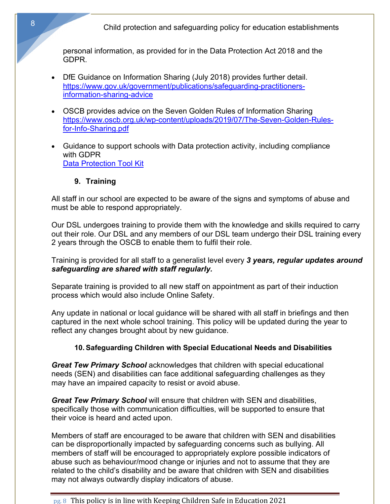Child protection and safeguarding policy for education establishments

personal information, as provided for in the Data Protection Act 2018 and the GDPR.

- DfE Guidance on Information Sharing (July 2018) provides further detail. https://www.gov.uk/government/publications/safeguarding-practitionersinformation-sharing-advice
- OSCB provides advice on the Seven Golden Rules of Information Sharing https://www.oscb.org.uk/wp-content/uploads/2019/07/The-Seven-Golden-Rulesfor-Info-Sharing.pdf
- Guidance to support schools with Data protection activity, including compliance with GDPR Data Protection Tool Kit

## **9. Training**

All staff in our school are expected to be aware of the signs and symptoms of abuse and must be able to respond appropriately.

Our DSL undergoes training to provide them with the knowledge and skills required to carry out their role. Our DSL and any members of our DSL team undergo their DSL training every 2 years through the OSCB to enable them to fulfil their role.

Training is provided for all staff to a generalist level every *3 years, regular updates around safeguarding are shared with staff regularly.*

Separate training is provided to all new staff on appointment as part of their induction process which would also include Online Safety.

Any update in national or local guidance will be shared with all staff in briefings and then captured in the next whole school training. This policy will be updated during the year to reflect any changes brought about by new guidance.

#### **10. Safeguarding Children with Special Educational Needs and Disabilities**

*Great Tew Primary School* acknowledges that children with special educational needs (SEN) and disabilities can face additional safeguarding challenges as they may have an impaired capacity to resist or avoid abuse.

*Great Tew Primary School* will ensure that children with SEN and disabilities, specifically those with communication difficulties, will be supported to ensure that their voice is heard and acted upon.

Members of staff are encouraged to be aware that children with SEN and disabilities can be disproportionally impacted by safeguarding concerns such as bullying. All members of staff will be encouraged to appropriately explore possible indicators of abuse such as behaviour/mood change or injuries and not to assume that they are related to the child's disability and be aware that children with SEN and disabilities may not always outwardly display indicators of abuse.

#### $pg. 8$  This policy is in line with Keeping Children Safe in Education 2021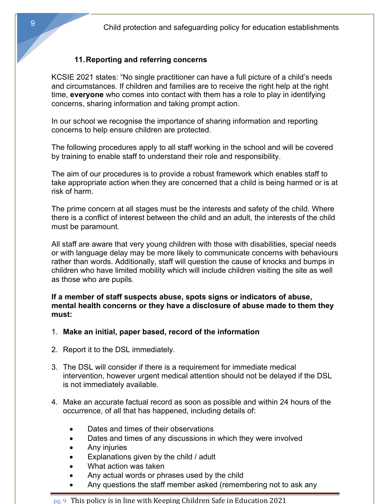## **11.Reporting and referring concerns**

KCSIE 2021 states: "No single practitioner can have a full picture of a child's needs and circumstances. If children and families are to receive the right help at the right time, **everyone** who comes into contact with them has a role to play in identifying concerns, sharing information and taking prompt action.

In our school we recognise the importance of sharing information and reporting concerns to help ensure children are protected.

The following procedures apply to all staff working in the school and will be covered by training to enable staff to understand their role and responsibility.

The aim of our procedures is to provide a robust framework which enables staff to take appropriate action when they are concerned that a child is being harmed or is at risk of harm.

The prime concern at all stages must be the interests and safety of the child. Where there is a conflict of interest between the child and an adult, the interests of the child must be paramount.

All staff are aware that very young children with those with disabilities, special needs or with language delay may be more likely to communicate concerns with behaviours rather than words. Additionally, staff will question the cause of knocks and bumps in children who have limited mobility which will include children visiting the site as well as those who are pupils.

**If a member of staff suspects abuse, spots signs or indicators of abuse, mental health concerns or they have a disclosure of abuse made to them they must:**

- 1. **Make an initial, paper based, record of the information**
- 2. Report it to the DSL immediately.
- 3. The DSL will consider if there is a requirement for immediate medical intervention, however urgent medical attention should not be delayed if the DSL is not immediately available.
- 4. Make an accurate factual record as soon as possible and within 24 hours of the occurrence, of all that has happened, including details of:
	- Dates and times of their observations
	- Dates and times of any discussions in which they were involved
	- Any injuries
	- Explanations given by the child / adult
	- What action was taken
	- Any actual words or phrases used by the child
	- Any questions the staff member asked (remembering not to ask any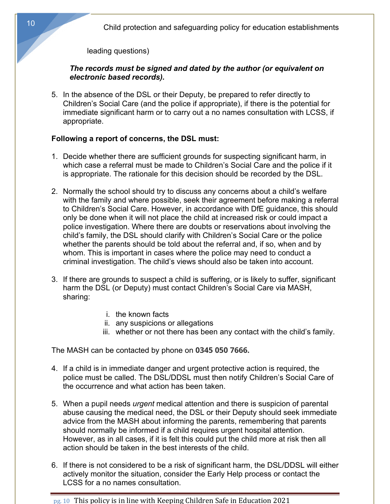Child protection and safeguarding policy for education establishments

leading questions)

#### *The records must be signed and dated by the author (or equivalent on electronic based records).*

5. In the absence of the DSL or their Deputy, be prepared to refer directly to Children's Social Care (and the police if appropriate), if there is the potential for immediate significant harm or to carry out a no names consultation with LCSS, if appropriate.

#### **Following a report of concerns, the DSL must:**

- 1. Decide whether there are sufficient grounds for suspecting significant harm, in which case a referral must be made to Children's Social Care and the police if it is appropriate. The rationale for this decision should be recorded by the DSL.
- 2. Normally the school should try to discuss any concerns about a child's welfare with the family and where possible, seek their agreement before making a referral to Children's Social Care. However, in accordance with DfE guidance, this should only be done when it will not place the child at increased risk or could impact a police investigation. Where there are doubts or reservations about involving the child's family, the DSL should clarify with Children's Social Care or the police whether the parents should be told about the referral and, if so, when and by whom. This is important in cases where the police may need to conduct a criminal investigation. The child's views should also be taken into account.
- 3. If there are grounds to suspect a child is suffering, or is likely to suffer, significant harm the DSL (or Deputy) must contact Children's Social Care via MASH, sharing:
	- i. the known facts
	- ii. any suspicions or allegations
	- iii. whether or not there has been any contact with the child's family.

The MASH can be contacted by phone on **0345 050 7666.**

- 4. If a child is in immediate danger and urgent protective action is required, the police must be called. The DSL/DDSL must then notify Children's Social Care of the occurrence and what action has been taken.
- 5. When a pupil needs *urgent* medical attention and there is suspicion of parental abuse causing the medical need, the DSL or their Deputy should seek immediate advice from the MASH about informing the parents, remembering that parents should normally be informed if a child requires urgent hospital attention. However, as in all cases, if it is felt this could put the child more at risk then all action should be taken in the best interests of the child.
- 6. If there is not considered to be a risk of significant harm, the DSL/DDSL will either actively monitor the situation, consider the Early Help process or contact the LCSS for a no names consultation.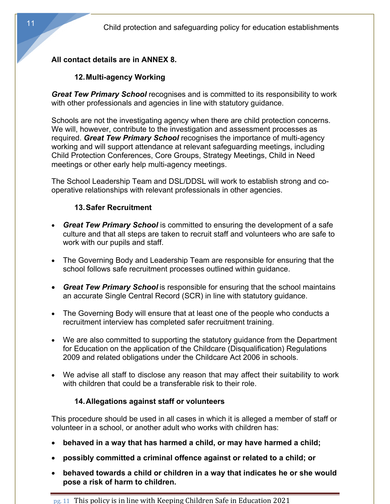## **All contact details are in ANNEX 8.**

## **12.Multi-agency Working**

*Great Tew Primary School* recognises and is committed to its responsibility to work with other professionals and agencies in line with statutory guidance.

Schools are not the investigating agency when there are child protection concerns. We will, however, contribute to the investigation and assessment processes as required. *Great Tew Primary School* recognises the importance of multi-agency working and will support attendance at relevant safeguarding meetings, including Child Protection Conferences, Core Groups, Strategy Meetings, Child in Need meetings or other early help multi-agency meetings.

The School Leadership Team and DSL/DDSL will work to establish strong and cooperative relationships with relevant professionals in other agencies.

## **13.Safer Recruitment**

- *Great Tew Primary School* is committed to ensuring the development of a safe culture and that all steps are taken to recruit staff and volunteers who are safe to work with our pupils and staff.
- The Governing Body and Leadership Team are responsible for ensuring that the school follows safe recruitment processes outlined within guidance.
- *Great Tew Primary School* is responsible for ensuring that the school maintains an accurate Single Central Record (SCR) in line with statutory guidance.
- The Governing Body will ensure that at least one of the people who conducts a recruitment interview has completed safer recruitment training.
- We are also committed to supporting the statutory guidance from the Department for Education on the application of the Childcare (Disqualification) Regulations 2009 and related obligations under the Childcare Act 2006 in schools.
- We advise all staff to disclose any reason that may affect their suitability to work with children that could be a transferable risk to their role.

## **14.Allegations against staff or volunteers**

This procedure should be used in all cases in which it is alleged a member of staff or volunteer in a school, or another adult who works with children has:

- **behaved in a way that has harmed a child, or may have harmed a child;**
- **possibly committed a criminal offence against or related to a child; or**
- **behaved towards a child or children in a way that indicates he or she would pose a risk of harm to children.**

pg. 11 This policy is in line with Keeping Children Safe in Education 2021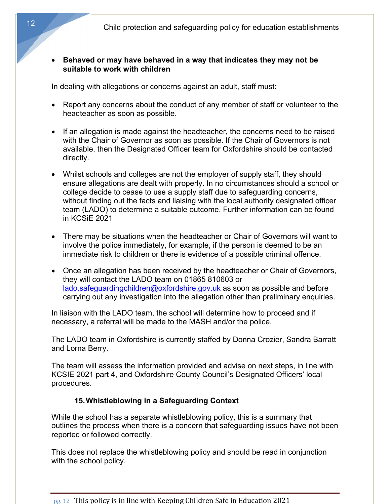#### • **Behaved or may have behaved in a way that indicates they may not be suitable to work with children**

In dealing with allegations or concerns against an adult, staff must:

- Report any concerns about the conduct of any member of staff or volunteer to the headteacher as soon as possible.
- If an allegation is made against the headteacher, the concerns need to be raised with the Chair of Governor as soon as possible. If the Chair of Governors is not available, then the Designated Officer team for Oxfordshire should be contacted directly.
- Whilst schools and colleges are not the employer of supply staff, they should ensure allegations are dealt with properly. In no circumstances should a school or college decide to cease to use a supply staff due to safeguarding concerns, without finding out the facts and liaising with the local authority designated officer team (LADO) to determine a suitable outcome. Further information can be found in KCSiE 2021
- There may be situations when the headteacher or Chair of Governors will want to involve the police immediately, for example, if the person is deemed to be an immediate risk to children or there is evidence of a possible criminal offence.
- Once an allegation has been received by the headteacher or Chair of Governors, they will contact the LADO team on 01865 810603 or lado.safeguardingchildren@oxfordshire.gov.uk as soon as possible and before carrying out any investigation into the allegation other than preliminary enquiries.

In liaison with the LADO team, the school will determine how to proceed and if necessary, a referral will be made to the MASH and/or the police.

The LADO team in Oxfordshire is currently staffed by Donna Crozier, Sandra Barratt and Lorna Berry.

The team will assess the information provided and advise on next steps, in line with KCSIE 2021 part 4, and Oxfordshire County Council's Designated Officers' local procedures.

## **15.Whistleblowing in a Safeguarding Context**

While the school has a separate whistleblowing policy, this is a summary that outlines the process when there is a concern that safeguarding issues have not been reported or followed correctly.

This does not replace the whistleblowing policy and should be read in conjunction with the school policy.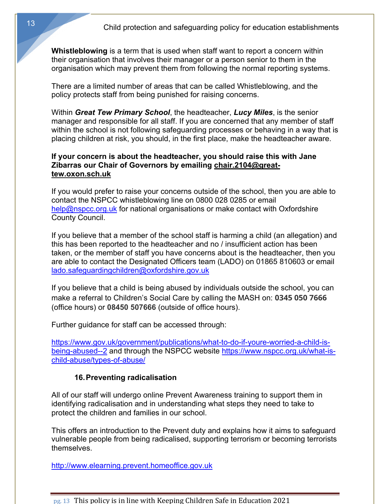**Whistleblowing** is a term that is used when staff want to report a concern within their organisation that involves their manager or a person senior to them in the organisation which may prevent them from following the normal reporting systems.

There are a limited number of areas that can be called Whistleblowing, and the policy protects staff from being punished for raising concerns.

Within *Great Tew Primary School*, the headteacher, *Lucy Miles*, is the senior manager and responsible for all staff. If you are concerned that any member of staff within the school is not following safeguarding processes or behaving in a way that is placing children at risk, you should, in the first place, make the headteacher aware.

#### **If your concern is about the headteacher, you should raise this with Jane Zibarras our Chair of Governors by emailing chair.2104@greattew.oxon.sch.uk**

If you would prefer to raise your concerns outside of the school, then you are able to contact the NSPCC whistleblowing line on 0800 028 0285 or email help@nspcc.org.uk for national organisations or make contact with Oxfordshire County Council.

If you believe that a member of the school staff is harming a child (an allegation) and this has been reported to the headteacher and no / insufficient action has been taken, or the member of staff you have concerns about is the headteacher, then you are able to contact the Designated Officers team (LADO) on 01865 810603 or email lado.safeguardingchildren@oxfordshire.gov.uk

If you believe that a child is being abused by individuals outside the school, you can make a referral to Children's Social Care by calling the MASH on: **0345 050 7666** (office hours) or **08450 507666** (outside of office hours).

Further guidance for staff can be accessed through:

https://www.gov.uk/government/publications/what-to-do-if-youre-worried-a-child-isbeing-abused--2 and through the NSPCC website https://www.nspcc.org.uk/what-ischild-abuse/types-of-abuse/

#### **16.Preventing radicalisation**

All of our staff will undergo online Prevent Awareness training to support them in identifying radicalisation and in understanding what steps they need to take to protect the children and families in our school.

This offers an introduction to the Prevent duty and explains how it aims to safeguard vulnerable people from being radicalised, supporting terrorism or becoming terrorists themselves.

http://www.elearning.prevent.homeoffice.gov.uk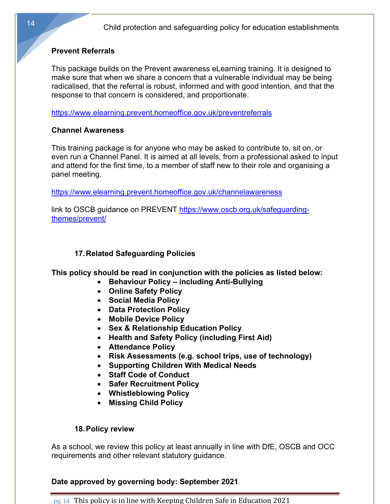## **Prevent Referrals**

This package builds on the Prevent awareness eLearning training. It is designed to make sure that when we share a concern that a vulnerable individual may be being radicalised, that the referral is robust, informed and with good intention, and that the response to that concern is considered, and proportionate.

https://www.elearning.prevent.homeoffice.gov.uk/preventreferrals

## **Channel Awareness**

This training package is for anyone who may be asked to contribute to, sit on, or even run a Channel Panel. It is aimed at all levels, from a professional asked to input and attend for the first time, to a member of staff new to their role and organising a panel meeting.

https://www.elearning.prevent.homeoffice.gov.uk/channelawareness

link to OSCB guidance on PREVENT https://www.oscb.org.uk/safeguardingthemes/prevent/

# **17.Related Safeguarding Policies**

**This policy should be read in conjunction with the policies as listed below:** 

- **Behaviour Policy – including Anti-Bullying** 
	- **Online Safety Policy**
	- **Social Media Policy**
	- **Data Protection Policy**
	- **Mobile Device Policy**
	- **Sex & Relationship Education Policy**
	- **Health and Safety Policy (including First Aid)**
	- **Attendance Policy**
	- **Risk Assessments (e.g. school trips, use of technology)**
- **Supporting Children With Medical Needs**
- **Staff Code of Conduct**
- **Safer Recruitment Policy**
- **Whistleblowing Policy**
- **Missing Child Policy**

## **18.Policy review**

As a school, we review this policy at least annually in line with DfE, OSCB and OCC requirements and other relevant statutory guidance.

# **Date approved by governing body: September 2021**

 $pg. 14$  This policy is in line with Keeping Children Safe in Education 2021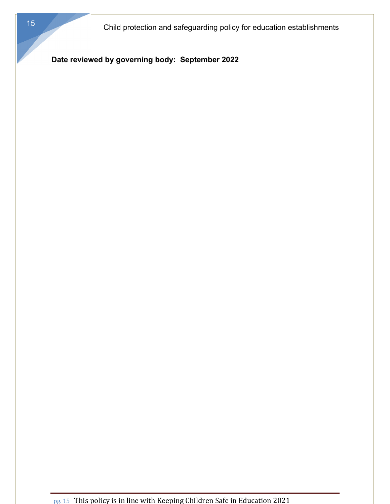**Date reviewed by governing body: September 2022**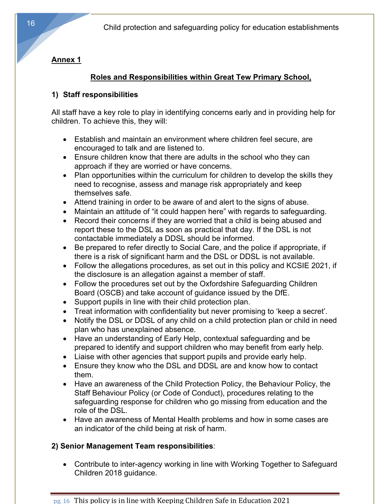# **Annex 1**

# **Roles and Responsibilities within Great Tew Primary School,**

# **1) Staff responsibilities**

All staff have a key role to play in identifying concerns early and in providing help for children. To achieve this, they will:

- Establish and maintain an environment where children feel secure, are encouraged to talk and are listened to.
- Ensure children know that there are adults in the school who they can approach if they are worried or have concerns.
- Plan opportunities within the curriculum for children to develop the skills they need to recognise, assess and manage risk appropriately and keep themselves safe.
- Attend training in order to be aware of and alert to the signs of abuse.
- Maintain an attitude of "it could happen here" with regards to safeguarding.
- Record their concerns if they are worried that a child is being abused and report these to the DSL as soon as practical that day. If the DSL is not contactable immediately a DDSL should be informed.
- Be prepared to refer directly to Social Care, and the police if appropriate, if there is a risk of significant harm and the DSL or DDSL is not available.
- Follow the allegations procedures, as set out in this policy and KCSIE 2021, if the disclosure is an allegation against a member of staff.
- Follow the procedures set out by the Oxfordshire Safeguarding Children Board (OSCB) and take account of guidance issued by the DfE.
- Support pupils in line with their child protection plan.
- Treat information with confidentiality but never promising to 'keep a secret'.
- Notify the DSL or DDSL of any child on a child protection plan or child in need plan who has unexplained absence.
- Have an understanding of Early Help, contextual safeguarding and be prepared to identify and support children who may benefit from early help.
- Liaise with other agencies that support pupils and provide early help.
- Ensure they know who the DSL and DDSL are and know how to contact them.
- Have an awareness of the Child Protection Policy, the Behaviour Policy, the Staff Behaviour Policy (or Code of Conduct), procedures relating to the safeguarding response for children who go missing from education and the role of the DSL.
- Have an awareness of Mental Health problems and how in some cases are an indicator of the child being at risk of harm.

# **2) Senior Management Team responsibilities**:

• Contribute to inter-agency working in line with Working Together to Safeguard Children 2018 guidance.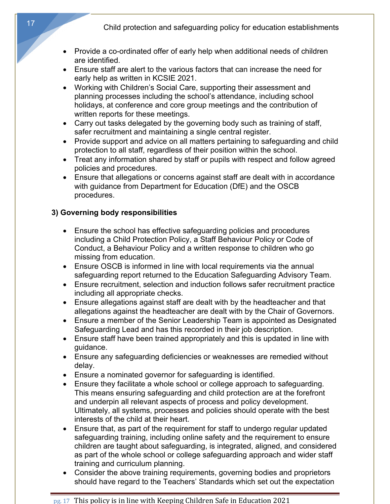- Provide a co-ordinated offer of early help when additional needs of children are identified.
- Ensure staff are alert to the various factors that can increase the need for early help as written in KCSIE 2021.
- Working with Children's Social Care, supporting their assessment and planning processes including the school's attendance, including school holidays, at conference and core group meetings and the contribution of written reports for these meetings.
- Carry out tasks delegated by the governing body such as training of staff, safer recruitment and maintaining a single central register.
- Provide support and advice on all matters pertaining to safeguarding and child protection to all staff, regardless of their position within the school.
- Treat any information shared by staff or pupils with respect and follow agreed policies and procedures.
- Ensure that allegations or concerns against staff are dealt with in accordance with guidance from Department for Education (DfE) and the OSCB procedures.

## **3) Governing body responsibilities**

- Ensure the school has effective safeguarding policies and procedures including a Child Protection Policy, a Staff Behaviour Policy or Code of Conduct, a Behaviour Policy and a written response to children who go missing from education.
- Ensure OSCB is informed in line with local requirements via the annual safeguarding report returned to the Education Safeguarding Advisory Team.
- Ensure recruitment, selection and induction follows safer recruitment practice including all appropriate checks.
- Ensure allegations against staff are dealt with by the headteacher and that allegations against the headteacher are dealt with by the Chair of Governors.
- Ensure a member of the Senior Leadership Team is appointed as Designated Safeguarding Lead and has this recorded in their job description.
- Ensure staff have been trained appropriately and this is updated in line with guidance.
- Ensure any safeguarding deficiencies or weaknesses are remedied without delay.
- Ensure a nominated governor for safeguarding is identified.
- Ensure they facilitate a whole school or college approach to safeguarding. This means ensuring safeguarding and child protection are at the forefront and underpin all relevant aspects of process and policy development. Ultimately, all systems, processes and policies should operate with the best interests of the child at their heart.
- Ensure that, as part of the requirement for staff to undergo regular updated safeguarding training, including online safety and the requirement to ensure children are taught about safeguarding, is integrated, aligned, and considered as part of the whole school or college safeguarding approach and wider staff training and curriculum planning.
- Consider the above training requirements, governing bodies and proprietors should have regard to the Teachers' Standards which set out the expectation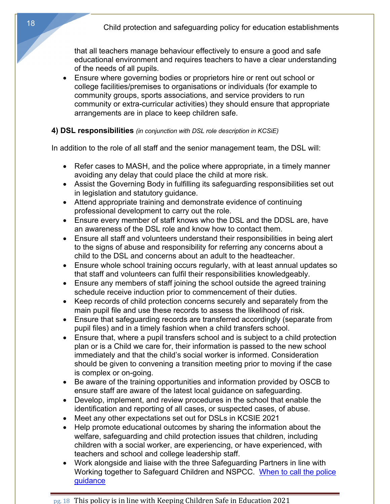that all teachers manage behaviour effectively to ensure a good and safe educational environment and requires teachers to have a clear understanding of the needs of all pupils.

• Ensure where governing bodies or proprietors hire or rent out school or college facilities/premises to organisations or individuals (for example to community groups, sports associations, and service providers to run community or extra-curricular activities) they should ensure that appropriate arrangements are in place to keep children safe.

## **4) DSL responsibilities** *(in conjunction with DSL role description in KCSiE)*

In addition to the role of all staff and the senior management team, the DSL will:

- Refer cases to MASH, and the police where appropriate, in a timely manner avoiding any delay that could place the child at more risk.
- Assist the Governing Body in fulfilling its safeguarding responsibilities set out in legislation and statutory guidance.
- Attend appropriate training and demonstrate evidence of continuing professional development to carry out the role.
- Ensure every member of staff knows who the DSL and the DDSL are, have an awareness of the DSL role and know how to contact them.
- Ensure all staff and volunteers understand their responsibilities in being alert to the signs of abuse and responsibility for referring any concerns about a child to the DSL and concerns about an adult to the headteacher.
- Ensure whole school training occurs regularly, with at least annual updates so that staff and volunteers can fulfil their responsibilities knowledgeably.
- Ensure any members of staff joining the school outside the agreed training schedule receive induction prior to commencement of their duties.
- Keep records of child protection concerns securely and separately from the main pupil file and use these records to assess the likelihood of risk.
- Ensure that safeguarding records are transferred accordingly (separate from pupil files) and in a timely fashion when a child transfers school.
- Ensure that, where a pupil transfers school and is subject to a child protection plan or is a Child we care for, their information is passed to the new school immediately and that the child's social worker is informed. Consideration should be given to convening a transition meeting prior to moving if the case is complex or on-going.
- Be aware of the training opportunities and information provided by OSCB to ensure staff are aware of the latest local guidance on safeguarding.
- Develop, implement, and review procedures in the school that enable the identification and reporting of all cases, or suspected cases, of abuse.
- Meet any other expectations set out for DSLs in KCSIE 2021
- Help promote educational outcomes by sharing the information about the welfare, safeguarding and child protection issues that children, including children with a social worker, are experiencing, or have experienced, with teachers and school and college leadership staff.
- Work alongside and liaise with the three Safeguarding Partners in line with Working together to Safeguard Children and NSPCC. When to call the police guidance

18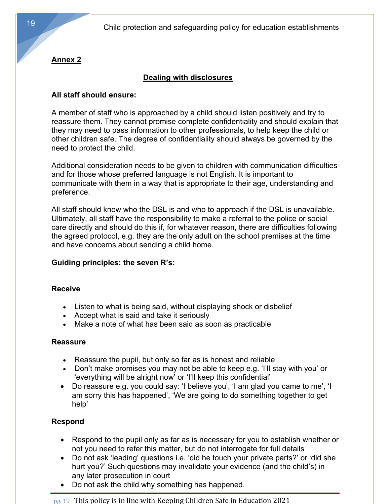# **Annex 2**

# **Dealing with disclosures**

#### **All staff should ensure:**

A member of staff who is approached by a child should listen positively and try to reassure them. They cannot promise complete confidentiality and should explain that they may need to pass information to other professionals, to help keep the child or other children safe. The degree of confidentiality should always be governed by the need to protect the child.

Additional consideration needs to be given to children with communication difficulties and for those whose preferred language is not English. It is important to communicate with them in a way that is appropriate to their age, understanding and preference.

All staff should know who the DSL is and who to approach if the DSL is unavailable. Ultimately, all staff have the responsibility to make a referral to the police or social care directly and should do this if, for whatever reason, there are difficulties following the agreed protocol, e.g. they are the only adult on the school premises at the time and have concerns about sending a child home.

## **Guiding principles: the seven R's:**

#### **Receive**

- Listen to what is being said, without displaying shock or disbelief
- Accept what is said and take it seriously
- Make a note of what has been said as soon as practicable

#### **Reassure**

- Reassure the pupil, but only so far as is honest and reliable
- Don't make promises you may not be able to keep e.g. 'I'll stay with you' or 'everything will be alright now' or 'I'll keep this confidential'
- Do reassure e.g. you could say: 'I believe you', 'I am glad you came to me', 'I am sorry this has happened', 'We are going to do something together to get help'

## **Respond**

- Respond to the pupil only as far as is necessary for you to establish whether or not you need to refer this matter, but do not interrogate for full details
- Do not ask 'leading' questions i.e. 'did he touch your private parts?' or 'did she hurt you?' Such questions may invalidate your evidence (and the child's) in any later prosecution in court
- Do not ask the child why something has happened.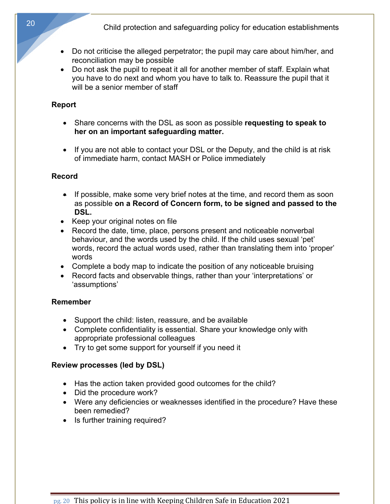- Do not criticise the alleged perpetrator; the pupil may care about him/her, and reconciliation may be possible
- Do not ask the pupil to repeat it all for another member of staff. Explain what you have to do next and whom you have to talk to. Reassure the pupil that it will be a senior member of staff

## **Report**

- Share concerns with the DSL as soon as possible **requesting to speak to her on an important safeguarding matter.**
- If you are not able to contact your DSL or the Deputy, and the child is at risk of immediate harm, contact MASH or Police immediately

## **Record**

- If possible, make some very brief notes at the time, and record them as soon as possible **on a Record of Concern form, to be signed and passed to the DSL.**
- Keep your original notes on file
- Record the date, time, place, persons present and noticeable nonverbal behaviour, and the words used by the child. If the child uses sexual 'pet' words, record the actual words used, rather than translating them into 'proper' words
- Complete a body map to indicate the position of any noticeable bruising
- Record facts and observable things, rather than your 'interpretations' or 'assumptions'

# **Remember**

- Support the child: listen, reassure, and be available
- Complete confidentiality is essential. Share your knowledge only with appropriate professional colleagues
- Try to get some support for yourself if you need it

# **Review processes (led by DSL)**

- Has the action taken provided good outcomes for the child?
- Did the procedure work?
- Were any deficiencies or weaknesses identified in the procedure? Have these been remedied?
- Is further training required?

pg. 20 This policy is in line with Keeping Children Safe in Education 2021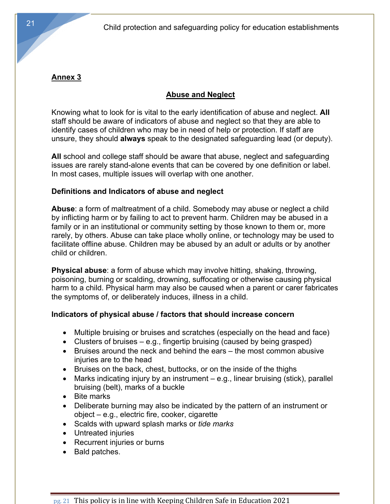# **Annex 3**

## **Abuse and Neglect**

Knowing what to look for is vital to the early identification of abuse and neglect. **All** staff should be aware of indicators of abuse and neglect so that they are able to identify cases of children who may be in need of help or protection. If staff are unsure, they should **always** speak to the designated safeguarding lead (or deputy).

**All** school and college staff should be aware that abuse, neglect and safeguarding issues are rarely stand-alone events that can be covered by one definition or label. In most cases, multiple issues will overlap with one another.

#### **Definitions and Indicators of abuse and neglect**

**Abuse**: a form of maltreatment of a child. Somebody may abuse or neglect a child by inflicting harm or by failing to act to prevent harm. Children may be abused in a family or in an institutional or community setting by those known to them or, more rarely, by others. Abuse can take place wholly online, or technology may be used to facilitate offline abuse. Children may be abused by an adult or adults or by another child or children.

**Physical abuse**: a form of abuse which may involve hitting, shaking, throwing, poisoning, burning or scalding, drowning, suffocating or otherwise causing physical harm to a child. Physical harm may also be caused when a parent or carer fabricates the symptoms of, or deliberately induces, illness in a child.

## **Indicators of physical abuse / factors that should increase concern**

- Multiple bruising or bruises and scratches (especially on the head and face)
- Clusters of bruises e.g., fingertip bruising (caused by being grasped)
- Bruises around the neck and behind the ears the most common abusive injuries are to the head
- Bruises on the back, chest, buttocks, or on the inside of the thighs
- Marks indicating injury by an instrument e.g., linear bruising (stick), parallel bruising (belt), marks of a buckle
- Bite marks
- Deliberate burning may also be indicated by the pattern of an instrument or object – e.g., electric fire, cooker, cigarette
- Scalds with upward splash marks or *tide marks*
- Untreated injuries
- Recurrent injuries or burns
- Bald patches.

21

 $pg. 21$  This policy is in line with Keeping Children Safe in Education 2021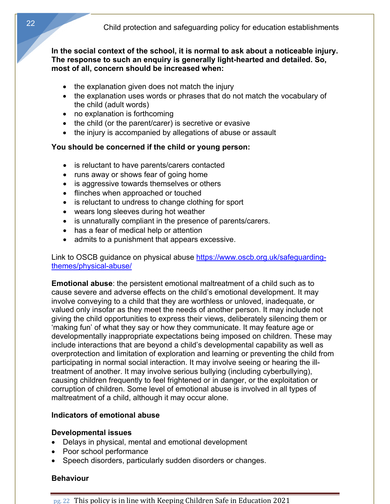#### **In the social context of the school, it is normal to ask about a noticeable injury. The response to such an enquiry is generally light-hearted and detailed. So, most of all, concern should be increased when:**

- the explanation given does not match the injury
- the explanation uses words or phrases that do not match the vocabulary of the child (adult words)
- no explanation is forthcoming
- the child (or the parent/carer) is secretive or evasive
- the injury is accompanied by allegations of abuse or assault

#### **You should be concerned if the child or young person:**

- is reluctant to have parents/carers contacted
- runs away or shows fear of going home
- is aggressive towards themselves or others
- flinches when approached or touched
- is reluctant to undress to change clothing for sport
- wears long sleeves during hot weather
- is unnaturally compliant in the presence of parents/carers.
- has a fear of medical help or attention
- admits to a punishment that appears excessive.

Link to OSCB guidance on physical abuse https://www.oscb.org.uk/safeguardingthemes/physical-abuse/

**Emotional abuse**: the persistent emotional maltreatment of a child such as to cause severe and adverse effects on the child's emotional development. It may involve conveying to a child that they are worthless or unloved, inadequate, or valued only insofar as they meet the needs of another person. It may include not giving the child opportunities to express their views, deliberately silencing them or 'making fun' of what they say or how they communicate. It may feature age or developmentally inappropriate expectations being imposed on children. These may include interactions that are beyond a child's developmental capability as well as overprotection and limitation of exploration and learning or preventing the child from participating in normal social interaction. It may involve seeing or hearing the illtreatment of another. It may involve serious bullying (including cyberbullying), causing children frequently to feel frightened or in danger, or the exploitation or corruption of children. Some level of emotional abuse is involved in all types of maltreatment of a child, although it may occur alone.

#### **Indicators of emotional abuse**

#### **Developmental issues**

- Delays in physical, mental and emotional development
- Poor school performance
- Speech disorders, particularly sudden disorders or changes.

#### **Behaviour**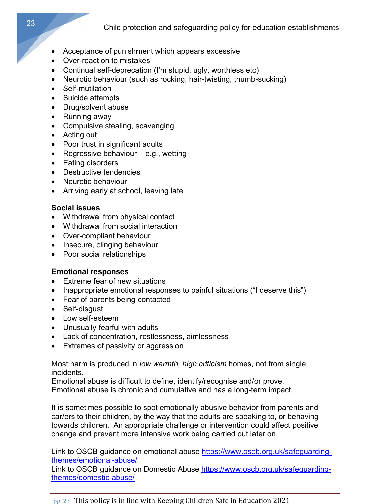- Acceptance of punishment which appears excessive
- Over-reaction to mistakes
- Continual self-deprecation (I'm stupid, ugly, worthless etc)
- Neurotic behaviour (such as rocking, hair-twisting, thumb-sucking)
- Self-mutilation
- Suicide attempts
- Drug/solvent abuse
- Running away
- Compulsive stealing, scavenging
- Acting out
- Poor trust in significant adults
- Regressive behaviour  $-$  e.g., wetting
- Eating disorders
- Destructive tendencies
- Neurotic behaviour
- Arriving early at school, leaving late

# **Social issues**

- Withdrawal from physical contact
- Withdrawal from social interaction
- Over-compliant behaviour
- Insecure, clinging behaviour
- Poor social relationships

# **Emotional responses**

- Extreme fear of new situations
- Inappropriate emotional responses to painful situations ("I deserve this")
- Fear of parents being contacted
- Self-disgust
- Low self-esteem
- Unusually fearful with adults
- Lack of concentration, restlessness, aimlessness
- Extremes of passivity or aggression

Most harm is produced in *low warmth, high criticism* homes, not from single incidents.

Emotional abuse is difficult to define, identify/recognise and/or prove. Emotional abuse is chronic and cumulative and has a long-term impact.

It is sometimes possible to spot emotionally abusive behavior from parents and car/ers to their children, by the way that the adults are speaking to, or behaving towards children. An appropriate challenge or intervention could affect positive change and prevent more intensive work being carried out later on.

Link to OSCB guidance on emotional abuse https://www.oscb.org.uk/safeguardingthemes/emotional-abuse/

Link to OSCB guidance on Domestic Abuse https://www.oscb.org.uk/safeguardingthemes/domestic-abuse/

pg. 23 This policy is in line with Keeping Children Safe in Education 2021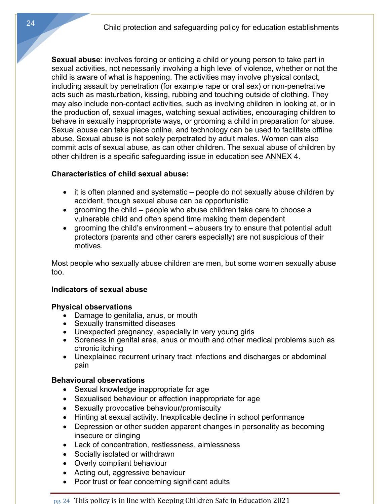**Sexual abuse**: involves forcing or enticing a child or young person to take part in sexual activities, not necessarily involving a high level of violence, whether or not the child is aware of what is happening. The activities may involve physical contact, including assault by penetration (for example rape or oral sex) or non-penetrative acts such as masturbation, kissing, rubbing and touching outside of clothing. They may also include non-contact activities, such as involving children in looking at, or in the production of, sexual images, watching sexual activities, encouraging children to behave in sexually inappropriate ways, or grooming a child in preparation for abuse. Sexual abuse can take place online, and technology can be used to facilitate offline abuse. Sexual abuse is not solely perpetrated by adult males. Women can also commit acts of sexual abuse, as can other children. The sexual abuse of children by other children is a specific safeguarding issue in education see ANNEX 4.

#### **Characteristics of child sexual abuse:**

- it is often planned and systematic people do not sexually abuse children by accident, though sexual abuse can be opportunistic
- grooming the child people who abuse children take care to choose a vulnerable child and often spend time making them dependent
- grooming the child's environment abusers try to ensure that potential adult protectors (parents and other carers especially) are not suspicious of their motives.

Most people who sexually abuse children are men, but some women sexually abuse too.

#### **Indicators of sexual abuse**

#### **Physical observations**

- Damage to genitalia, anus, or mouth
- Sexually transmitted diseases
- Unexpected pregnancy, especially in very young girls
- Soreness in genital area, anus or mouth and other medical problems such as chronic itching
- Unexplained recurrent urinary tract infections and discharges or abdominal pain

#### **Behavioural observations**

- Sexual knowledge inappropriate for age
- Sexualised behaviour or affection inappropriate for age
- Sexually provocative behaviour/promiscuity
- Hinting at sexual activity. Inexplicable decline in school performance
- Depression or other sudden apparent changes in personality as becoming insecure or clinging
- Lack of concentration, restlessness, aimlessness
- Socially isolated or withdrawn
- Overly compliant behaviour
- Acting out, aggressive behaviour
- Poor trust or fear concerning significant adults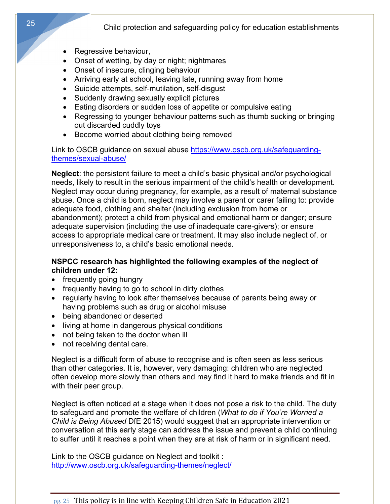- Regressive behaviour,
- Onset of wetting, by day or night; nightmares
- Onset of insecure, clinging behaviour
- Arriving early at school, leaving late, running away from home
- Suicide attempts, self-mutilation, self-disgust
- Suddenly drawing sexually explicit pictures
- Eating disorders or sudden loss of appetite or compulsive eating
- Regressing to younger behaviour patterns such as thumb sucking or bringing out discarded cuddly toys
- Become worried about clothing being removed

Link to OSCB guidance on sexual abuse https://www.oscb.org.uk/safeguardingthemes/sexual-abuse/

**Neglect**: the persistent failure to meet a child's basic physical and/or psychological needs, likely to result in the serious impairment of the child's health or development. Neglect may occur during pregnancy, for example, as a result of maternal substance abuse. Once a child is born, neglect may involve a parent or carer failing to: provide adequate food, clothing and shelter (including exclusion from home or abandonment); protect a child from physical and emotional harm or danger; ensure adequate supervision (including the use of inadequate care-givers); or ensure access to appropriate medical care or treatment. It may also include neglect of, or unresponsiveness to, a child's basic emotional needs.

#### **NSPCC research has highlighted the following examples of the neglect of children under 12:**

- frequently going hungry
- frequently having to go to school in dirty clothes
- regularly having to look after themselves because of parents being away or having problems such as drug or alcohol misuse
- being abandoned or deserted
- living at home in dangerous physical conditions
- not being taken to the doctor when ill
- not receiving dental care.

Neglect is a difficult form of abuse to recognise and is often seen as less serious than other categories. It is, however, very damaging: children who are neglected often develop more slowly than others and may find it hard to make friends and fit in with their peer group.

Neglect is often noticed at a stage when it does not pose a risk to the child. The duty to safeguard and promote the welfare of children (*What to do if You're Worried a Child is Being Abused* DfE 2015) would suggest that an appropriate intervention or conversation at this early stage can address the issue and prevent a child continuing to suffer until it reaches a point when they are at risk of harm or in significant need.

Link to the OSCB guidance on Neglect and toolkit : http://www.oscb.org.uk/safeguarding-themes/neglect/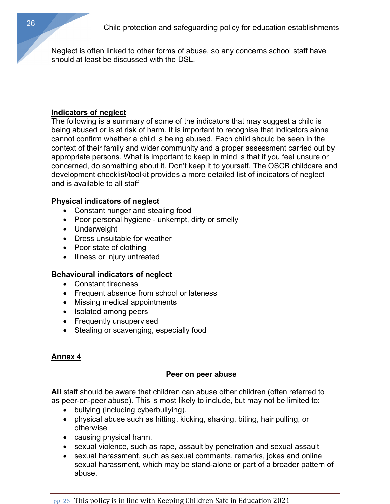Neglect is often linked to other forms of abuse, so any concerns school staff have should at least be discussed with the DSL.

#### **Indicators of neglect**

The following is a summary of some of the indicators that may suggest a child is being abused or is at risk of harm. It is important to recognise that indicators alone cannot confirm whether a child is being abused. Each child should be seen in the context of their family and wider community and a proper assessment carried out by appropriate persons. What is important to keep in mind is that if you feel unsure or concerned, do something about it. Don't keep it to yourself. The OSCB childcare and development checklist/toolkit provides a more detailed list of indicators of neglect and is available to all staff

#### **Physical indicators of neglect**

- Constant hunger and stealing food
- Poor personal hygiene unkempt, dirty or smelly
- Underweight
- Dress unsuitable for weather
- Poor state of clothing
- Illness or injury untreated

## **Behavioural indicators of neglect**

- Constant tiredness
- Frequent absence from school or lateness
- Missing medical appointments
- Isolated among peers
- Frequently unsupervised
- Stealing or scavenging, especially food

# **Annex 4**

## **Peer on peer abuse**

**All** staff should be aware that children can abuse other children (often referred to as peer-on-peer abuse). This is most likely to include, but may not be limited to:

- bullying (including cyberbullying).
- physical abuse such as hitting, kicking, shaking, biting, hair pulling, or otherwise
- causing physical harm.
- sexual violence, such as rape, assault by penetration and sexual assault
- sexual harassment, such as sexual comments, remarks, jokes and online sexual harassment, which may be stand-alone or part of a broader pattern of abuse.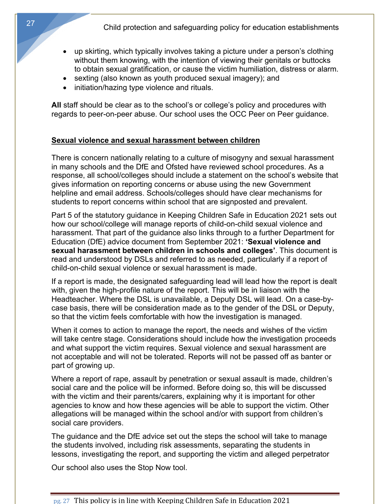- up skirting, which typically involves taking a picture under a person's clothing without them knowing, with the intention of viewing their genitals or buttocks to obtain sexual gratification, or cause the victim humiliation, distress or alarm.
- sexting (also known as youth produced sexual imagery); and
- initiation/hazing type violence and rituals.

All staff should be clear as to the school's or college's policy and procedures with regards to peer-on-peer abuse. Our school uses the OCC Peer on Peer guidance.

#### **Sexual violence and sexual harassment between children**

There is concern nationally relating to a culture of misogyny and sexual harassment in many schools and the DfE and Ofsted have reviewed school procedures. As a response, all school/colleges should include a statement on the school's website that gives information on reporting concerns or abuse using the new Government helpline and email address. Schools/colleges should have clear mechanisms for students to report concerns within school that are signposted and prevalent.

Part 5 of the statutory guidance in Keeping Children Safe in Education 2021 sets out how our school/college will manage reports of child-on-child sexual violence and harassment. That part of the guidance also links through to a further Department for Education (DfE) advice document from September 2021: **'Sexual violence and sexual harassment between children in schools and colleges'**. This document is read and understood by DSLs and referred to as needed, particularly if a report of child-on-child sexual violence or sexual harassment is made.

If a report is made, the designated safeguarding lead will lead how the report is dealt with, given the high-profile nature of the report. This will be in liaison with the Headteacher. Where the DSL is unavailable, a Deputy DSL will lead. On a case-bycase basis, there will be consideration made as to the gender of the DSL or Deputy, so that the victim feels comfortable with how the investigation is managed.

When it comes to action to manage the report, the needs and wishes of the victim will take centre stage. Considerations should include how the investigation proceeds and what support the victim requires. Sexual violence and sexual harassment are not acceptable and will not be tolerated. Reports will not be passed off as banter or part of growing up.

Where a report of rape, assault by penetration or sexual assault is made, children's social care and the police will be informed. Before doing so, this will be discussed with the victim and their parents/carers, explaining why it is important for other agencies to know and how these agencies will be able to support the victim. Other allegations will be managed within the school and/or with support from children's social care providers.

The guidance and the DfE advice set out the steps the school will take to manage the students involved, including risk assessments, separating the students in lessons, investigating the report, and supporting the victim and alleged perpetrator

Our school also uses the Stop Now tool.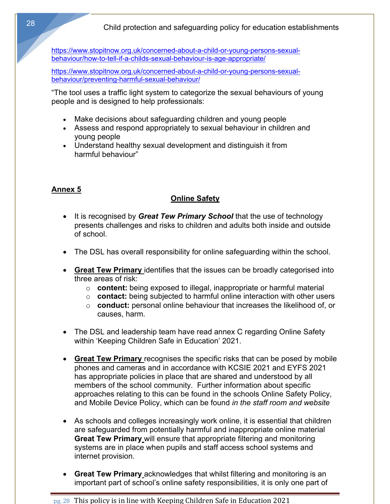https://www.stopitnow.org.uk/concerned-about-a-child-or-young-persons-sexualbehaviour/how-to-tell-if-a-childs-sexual-behaviour-is-age-appropriate/

https://www.stopitnow.org.uk/concerned-about-a-child-or-young-persons-sexualbehaviour/preventing-harmful-sexual-behaviour/

"The tool uses a traffic light system to categorize the sexual behaviours of young people and is designed to help professionals:

- Make decisions about safeguarding children and young people
- Assess and respond appropriately to sexual behaviour in children and young people
- Understand healthy sexual development and distinguish it from harmful behaviour"

# **Annex 5**

## **Online Safety**

- It is recognised by *Great Tew Primary School* that the use of technology presents challenges and risks to children and adults both inside and outside of school.
- The DSL has overall responsibility for online safeguarding within the school.
- **Great Tew Primary** identifies that the issues can be broadly categorised into three areas of risk:
	- o **content:** being exposed to illegal, inappropriate or harmful material
	- o **contact:** being subjected to harmful online interaction with other users
	- o **conduct:** personal online behaviour that increases the likelihood of, or causes, harm.
- The DSL and leadership team have read annex C regarding Online Safety within 'Keeping Children Safe in Education' 2021.
- **Great Tew Primary** recognises the specific risks that can be posed by mobile phones and cameras and in accordance with KCSIE 2021 and EYFS 2021 has appropriate policies in place that are shared and understood by all members of the school community. Further information about specific approaches relating to this can be found in the schools Online Safety Policy, and Mobile Device Policy, which can be found *in the staff room and website*
- As schools and colleges increasingly work online, it is essential that children are safeguarded from potentially harmful and inappropriate online material **Great Tew Primary** will ensure that appropriate filtering and monitoring systems are in place when pupils and staff access school systems and internet provision.
- **Great Tew Primary** acknowledges that whilst filtering and monitoring is an important part of school's online safety responsibilities, it is only one part of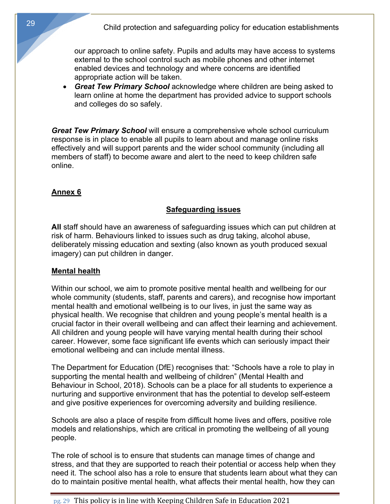our approach to online safety. Pupils and adults may have access to systems external to the school control such as mobile phones and other internet enabled devices and technology and where concerns are identified appropriate action will be taken.

• *Great Tew Primary School* acknowledge where children are being asked to learn online at home the department has provided advice to support schools and colleges do so safely.

*Great Tew Primary School* will ensure a comprehensive whole school curriculum response is in place to enable all pupils to learn about and manage online risks effectively and will support parents and the wider school community (including all members of staff) to become aware and alert to the need to keep children safe online.

## **Annex 6**

# **Safeguarding issues**

**All** staff should have an awareness of safeguarding issues which can put children at risk of harm. Behaviours linked to issues such as drug taking, alcohol abuse, deliberately missing education and sexting (also known as youth produced sexual imagery) can put children in danger.

## **Mental health**

Within our school, we aim to promote positive mental health and wellbeing for our whole community (students, staff, parents and carers), and recognise how important mental health and emotional wellbeing is to our lives, in just the same way as physical health. We recognise that children and young people's mental health is a crucial factor in their overall wellbeing and can affect their learning and achievement. All children and young people will have varying mental health during their school career. However, some face significant life events which can seriously impact their emotional wellbeing and can include mental illness.

The Department for Education (DfE) recognises that: "Schools have a role to play in supporting the mental health and wellbeing of children" (Mental Health and Behaviour in School, 2018). Schools can be a place for all students to experience a nurturing and supportive environment that has the potential to develop self-esteem and give positive experiences for overcoming adversity and building resilience.

Schools are also a place of respite from difficult home lives and offers, positive role models and relationships, which are critical in promoting the wellbeing of all young people.

The role of school is to ensure that students can manage times of change and stress, and that they are supported to reach their potential or access help when they need it. The school also has a role to ensure that students learn about what they can do to maintain positive mental health, what affects their mental health, how they can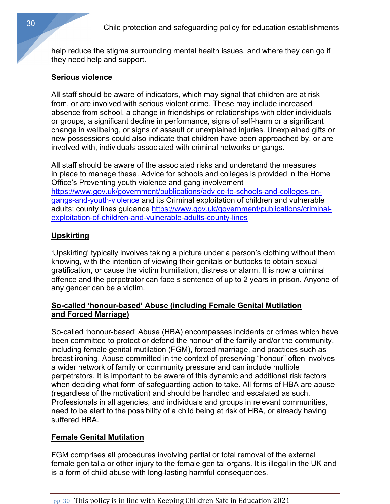help reduce the stigma surrounding mental health issues, and where they can go if they need help and support.

#### **Serious violence**

All staff should be aware of indicators, which may signal that children are at risk from, or are involved with serious violent crime. These may include increased absence from school, a change in friendships or relationships with older individuals or groups, a significant decline in performance, signs of self-harm or a significant change in wellbeing, or signs of assault or unexplained injuries. Unexplained gifts or new possessions could also indicate that children have been approached by, or are involved with, individuals associated with criminal networks or gangs.

All staff should be aware of the associated risks and understand the measures in place to manage these. Advice for schools and colleges is provided in the Home Office's Preventing youth violence and gang involvement https://www.gov.uk/government/publications/advice-to-schools-and-colleges-ongangs-and-youth-violence and its Criminal exploitation of children and vulnerable adults: county lines guidance https://www.gov.uk/government/publications/criminalexploitation-of-children-and-vulnerable-adults-county-lines

## **Upskirting**

'Upskirting' typically involves taking a picture under a person's clothing without them knowing, with the intention of viewing their genitals or buttocks to obtain sexual gratification, or cause the victim humiliation, distress or alarm. It is now a criminal offence and the perpetrator can face s sentence of up to 2 years in prison. Anyone of any gender can be a victim.

#### **So-called 'honour-based' Abuse (including Female Genital Mutilation and Forced Marriage)**

So-called 'honour-based' Abuse (HBA) encompasses incidents or crimes which have been committed to protect or defend the honour of the family and/or the community, including female genital mutilation (FGM), forced marriage, and practices such as breast ironing. Abuse committed in the context of preserving "honour" often involves a wider network of family or community pressure and can include multiple perpetrators. It is important to be aware of this dynamic and additional risk factors when deciding what form of safeguarding action to take. All forms of HBA are abuse (regardless of the motivation) and should be handled and escalated as such. Professionals in all agencies, and individuals and groups in relevant communities, need to be alert to the possibility of a child being at risk of HBA, or already having suffered HBA.

#### **Female Genital Mutilation**

FGM comprises all procedures involving partial or total removal of the external female genitalia or other injury to the female genital organs. It is illegal in the UK and is a form of child abuse with long-lasting harmful consequences.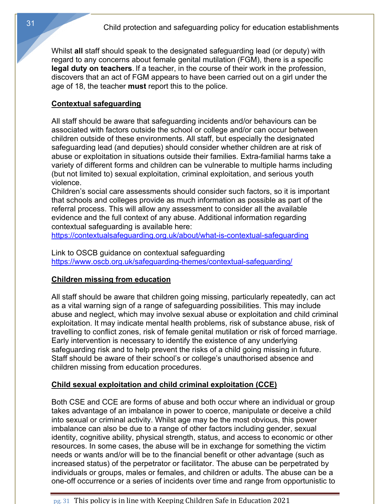Whilst **all** staff should speak to the designated safeguarding lead (or deputy) with regard to any concerns about female genital mutilation (FGM), there is a specific **legal duty on teachers**. If a teacher, in the course of their work in the profession, discovers that an act of FGM appears to have been carried out on a girl under the age of 18, the teacher **must** report this to the police.

# **Contextual safeguarding**

All staff should be aware that safeguarding incidents and/or behaviours can be associated with factors outside the school or college and/or can occur between children outside of these environments. All staff, but especially the designated safeguarding lead (and deputies) should consider whether children are at risk of abuse or exploitation in situations outside their families. Extra-familial harms take a variety of different forms and children can be vulnerable to multiple harms including (but not limited to) sexual exploitation, criminal exploitation, and serious youth violence.

Children's social care assessments should consider such factors, so it is important that schools and colleges provide as much information as possible as part of the referral process. This will allow any assessment to consider all the available evidence and the full context of any abuse. Additional information regarding contextual safeguarding is available here:

https://contextualsafeguarding.org.uk/about/what-is-contextual-safeguarding

Link to OSCB guidance on contextual safeguarding https://www.oscb.org.uk/safeguarding-themes/contextual-safeguarding/

# **Children missing from education**

All staff should be aware that children going missing, particularly repeatedly, can act as a vital warning sign of a range of safeguarding possibilities. This may include abuse and neglect, which may involve sexual abuse or exploitation and child criminal exploitation. It may indicate mental health problems, risk of substance abuse, risk of travelling to conflict zones, risk of female genital mutilation or risk of forced marriage. Early intervention is necessary to identify the existence of any underlying safeguarding risk and to help prevent the risks of a child going missing in future. Staff should be aware of their school's or college's unauthorised absence and children missing from education procedures.

# **Child sexual exploitation and child criminal exploitation (CCE)**

Both CSE and CCE are forms of abuse and both occur where an individual or group takes advantage of an imbalance in power to coerce, manipulate or deceive a child into sexual or criminal activity. Whilst age may be the most obvious, this power imbalance can also be due to a range of other factors including gender, sexual identity, cognitive ability, physical strength, status, and access to economic or other resources. In some cases, the abuse will be in exchange for something the victim needs or wants and/or will be to the financial benefit or other advantage (such as increased status) of the perpetrator or facilitator. The abuse can be perpetrated by individuals or groups, males or females, and children or adults. The abuse can be a one-off occurrence or a series of incidents over time and range from opportunistic to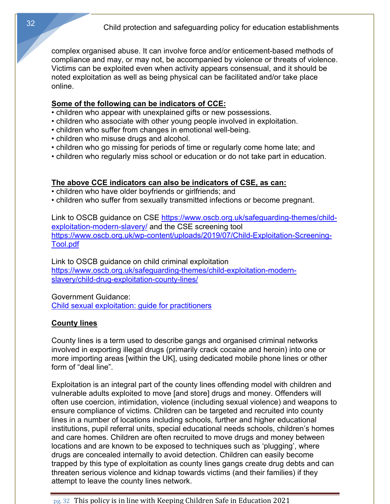complex organised abuse. It can involve force and/or enticement-based methods of compliance and may, or may not, be accompanied by violence or threats of violence. Victims can be exploited even when activity appears consensual, and it should be noted exploitation as well as being physical can be facilitated and/or take place online.

#### **Some of the following can be indicators of CCE:**

- children who appear with unexplained gifts or new possessions.
- children who associate with other young people involved in exploitation.
- children who suffer from changes in emotional well-being.
- children who misuse drugs and alcohol.
- children who go missing for periods of time or regularly come home late; and
- children who regularly miss school or education or do not take part in education.

## **The above CCE indicators can also be indicators of CSE, as can:**

- children who have older boyfriends or girlfriends; and
- children who suffer from sexually transmitted infections or become pregnant.

Link to OSCB guidance on CSE https://www.oscb.org.uk/safeguarding-themes/childexploitation-modern-slavery/ and the CSE screening tool https://www.oscb.org.uk/wp-content/uploads/2019/07/Child-Exploitation-Screening-Tool.pdf

Link to OSCB guidance on child criminal exploitation https://www.oscb.org.uk/safeguarding-themes/child-exploitation-modernslavery/child-drug-exploitation-county-lines/

Government Guidance:

Child sexual exploitation: guide for practitioners

# **County lines**

County lines is a term used to describe gangs and organised criminal networks involved in exporting illegal drugs (primarily crack cocaine and heroin) into one or more importing areas [within the UK], using dedicated mobile phone lines or other form of "deal line".

Exploitation is an integral part of the county lines offending model with children and vulnerable adults exploited to move [and store] drugs and money. Offenders will often use coercion, intimidation, violence (including sexual violence) and weapons to ensure compliance of victims. Children can be targeted and recruited into county lines in a number of locations including schools, further and higher educational institutions, pupil referral units, special educational needs schools, children's homes and care homes. Children are often recruited to move drugs and money between locations and are known to be exposed to techniques such as 'plugging', where drugs are concealed internally to avoid detection. Children can easily become trapped by this type of exploitation as county lines gangs create drug debts and can threaten serious violence and kidnap towards victims (and their families) if they attempt to leave the county lines network.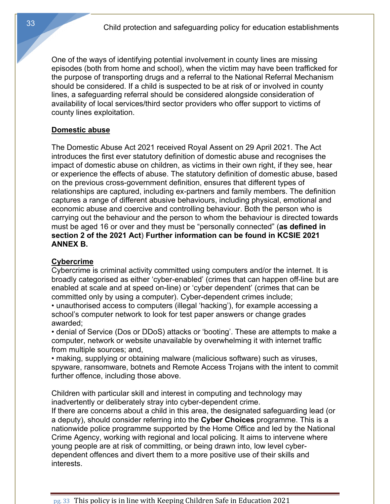One of the ways of identifying potential involvement in county lines are missing episodes (both from home and school), when the victim may have been trafficked for the purpose of transporting drugs and a referral to the National Referral Mechanism should be considered. If a child is suspected to be at risk of or involved in county lines, a safeguarding referral should be considered alongside consideration of availability of local services/third sector providers who offer support to victims of county lines exploitation.

## **Domestic abuse**

The Domestic Abuse Act 2021 received Royal Assent on 29 April 2021. The Act introduces the first ever statutory definition of domestic abuse and recognises the impact of domestic abuse on children, as victims in their own right, if they see, hear or experience the effects of abuse. The statutory definition of domestic abuse, based on the previous cross-government definition, ensures that different types of relationships are captured, including ex-partners and family members. The definition captures a range of different abusive behaviours, including physical, emotional and economic abuse and coercive and controlling behaviour. Both the person who is carrying out the behaviour and the person to whom the behaviour is directed towards must be aged 16 or over and they must be "personally connected" (**as defined in section 2 of the 2021 Act**) **Further information can be found in KCSIE 2021 ANNEX B.**

## **Cybercrime**

Cybercrime is criminal activity committed using computers and/or the internet. It is broadly categorised as either 'cyber-enabled' (crimes that can happen off-line but are enabled at scale and at speed on-line) or 'cyber dependent' (crimes that can be committed only by using a computer). Cyber-dependent crimes include;

• unauthorised access to computers (illegal 'hacking'), for example accessing a school's computer network to look for test paper answers or change grades awarded;

• denial of Service (Dos or DDoS) attacks or 'booting'. These are attempts to make a computer, network or website unavailable by overwhelming it with internet traffic from multiple sources; and,

• making, supplying or obtaining malware (malicious software) such as viruses, spyware, ransomware, botnets and Remote Access Trojans with the intent to commit further offence, including those above.

Children with particular skill and interest in computing and technology may inadvertently or deliberately stray into cyber-dependent crime.

If there are concerns about a child in this area, the designated safeguarding lead (or a deputy), should consider referring into the **Cyber Choices** programme. This is a nationwide police programme supported by the Home Office and led by the National Crime Agency, working with regional and local policing. It aims to intervene where young people are at risk of committing, or being drawn into, low level cyberdependent offences and divert them to a more positive use of their skills and interests.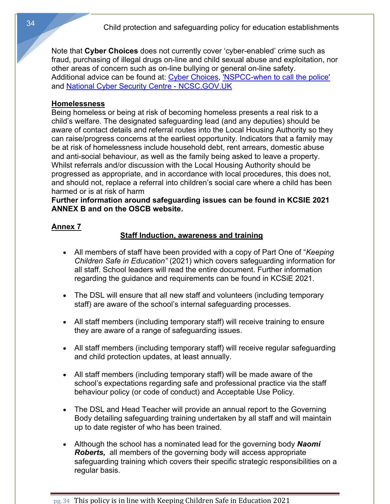Note that **Cyber Choices** does not currently cover 'cyber-enabled' crime such as fraud, purchasing of illegal drugs on-line and child sexual abuse and exploitation, nor other areas of concern such as on-line bullying or general on-line safety. Additional advice can be found at: Cyber Choices, 'NSPCC-when to call the police' and National Cyber Security Centre - NCSC.GOV.UK

#### **Homelessness**

Being homeless or being at risk of becoming homeless presents a real risk to a child's welfare. The designated safeguarding lead (and any deputies) should be aware of contact details and referral routes into the Local Housing Authority so they can raise/progress concerns at the earliest opportunity. Indicators that a family may be at risk of homelessness include household debt, rent arrears, domestic abuse and anti-social behaviour, as well as the family being asked to leave a property. Whilst referrals and/or discussion with the Local Housing Authority should be progressed as appropriate, and in accordance with local procedures, this does not, and should not, replace a referral into children's social care where a child has been harmed or is at risk of harm

**Further information around safeguarding issues can be found in KCSIE 2021 ANNEX B and on the OSCB website.**

## **Annex 7**

## **Staff Induction, awareness and training**

- All members of staff have been provided with a copy of Part One of "*Keeping Children Safe in Education"* (2021) which covers safeguarding information for all staff. School leaders will read the entire document. Further information regarding the guidance and requirements can be found in KCSiE 2021.
- The DSL will ensure that all new staff and volunteers (including temporary staff) are aware of the school's internal safeguarding processes.
- All staff members (including temporary staff) will receive training to ensure they are aware of a range of safeguarding issues.
- All staff members (including temporary staff) will receive regular safeguarding and child protection updates, at least annually.
- All staff members (including temporary staff) will be made aware of the school's expectations regarding safe and professional practice via the staff behaviour policy (or code of conduct) and Acceptable Use Policy.
- The DSL and Head Teacher will provide an annual report to the Governing Body detailing safeguarding training undertaken by all staff and will maintain up to date register of who has been trained.
- Although the school has a nominated lead for the governing body *Naomi Roberts,* all members of the governing body will access appropriate safeguarding training which covers their specific strategic responsibilities on a regular basis.

pg. 34 This policy is in line with Keeping Children Safe in Education 2021